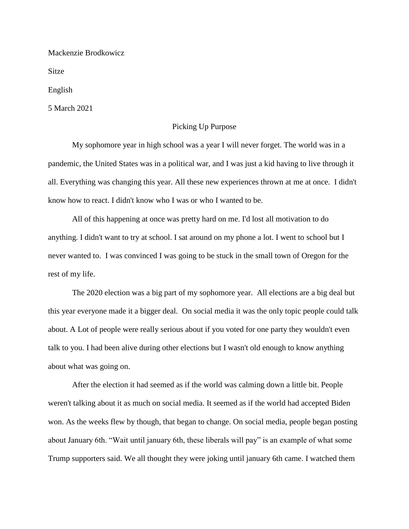Mackenzie Brodkowicz

Sitze

English

5 March 2021

## Picking Up Purpose

My sophomore year in high school was a year I will never forget. The world was in a pandemic, the United States was in a political war, and I was just a kid having to live through it all. Everything was changing this year. All these new experiences thrown at me at once. I didn't know how to react. I didn't know who I was or who I wanted to be.

All of this happening at once was pretty hard on me. I'd lost all motivation to do anything. I didn't want to try at school. I sat around on my phone a lot. I went to school but I never wanted to. I was convinced I was going to be stuck in the small town of Oregon for the rest of my life.

The 2020 election was a big part of my sophomore year. All elections are a big deal but this year everyone made it a bigger deal. On social media it was the only topic people could talk about. A Lot of people were really serious about if you voted for one party they wouldn't even talk to you. I had been alive during other elections but I wasn't old enough to know anything about what was going on.

After the election it had seemed as if the world was calming down a little bit. People weren't talking about it as much on social media. It seemed as if the world had accepted Biden won. As the weeks flew by though, that began to change. On social media, people began posting about January 6th. "Wait until january 6th, these liberals will pay" is an example of what some Trump supporters said. We all thought they were joking until january 6th came. I watched them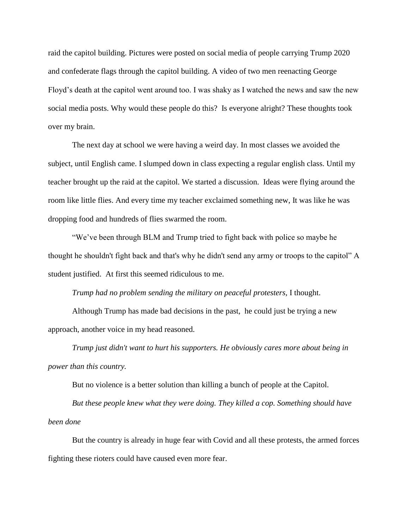raid the capitol building. Pictures were posted on social media of people carrying Trump 2020 and confederate flags through the capitol building. A video of two men reenacting George Floyd's death at the capitol went around too. I was shaky as I watched the news and saw the new social media posts. Why would these people do this? Is everyone alright? These thoughts took over my brain.

The next day at school we were having a weird day. In most classes we avoided the subject, until English came. I slumped down in class expecting a regular english class. Until my teacher brought up the raid at the capitol. We started a discussion. Ideas were flying around the room like little flies. And every time my teacher exclaimed something new, It was like he was dropping food and hundreds of flies swarmed the room.

"We've been through BLM and Trump tried to fight back with police so maybe he thought he shouldn't fight back and that's why he didn't send any army or troops to the capitol" A student justified. At first this seemed ridiculous to me.

*Trump had no problem sending the military on peaceful protesters,* I thought.

Although Trump has made bad decisions in the past, he could just be trying a new approach, another voice in my head reasoned.

*Trump just didn't want to hurt his supporters. He obviously cares more about being in power than this country.* 

But no violence is a better solution than killing a bunch of people at the Capitol.

*But these people knew what they were doing. They killed a cop. Something should have been done* 

But the country is already in huge fear with Covid and all these protests, the armed forces fighting these rioters could have caused even more fear.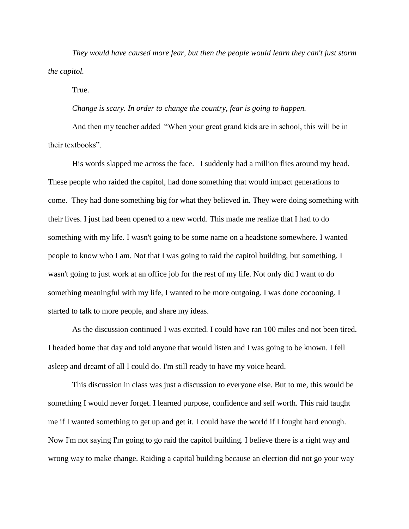*They would have caused more fear, but then the people would learn they can't just storm the capitol.* 

True.

## *Change is scary. In order to change the country, fear is going to happen.*

And then my teacher added "When your great grand kids are in school, this will be in their textbooks".

His words slapped me across the face. I suddenly had a million flies around my head. These people who raided the capitol, had done something that would impact generations to come. They had done something big for what they believed in. They were doing something with their lives. I just had been opened to a new world. This made me realize that I had to do something with my life. I wasn't going to be some name on a headstone somewhere. I wanted people to know who I am. Not that I was going to raid the capitol building, but something. I wasn't going to just work at an office job for the rest of my life. Not only did I want to do something meaningful with my life, I wanted to be more outgoing. I was done cocooning. I started to talk to more people, and share my ideas.

As the discussion continued I was excited. I could have ran 100 miles and not been tired. I headed home that day and told anyone that would listen and I was going to be known. I fell asleep and dreamt of all I could do. I'm still ready to have my voice heard.

This discussion in class was just a discussion to everyone else. But to me, this would be something I would never forget. I learned purpose, confidence and self worth. This raid taught me if I wanted something to get up and get it. I could have the world if I fought hard enough. Now I'm not saying I'm going to go raid the capitol building. I believe there is a right way and wrong way to make change. Raiding a capital building because an election did not go your way